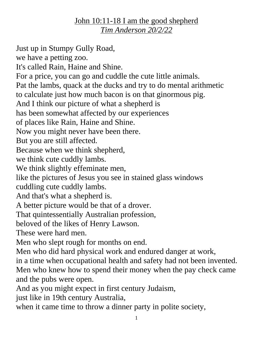## John 10:11-18 I am the good shepherd *Tim Anderson 20/2/22*

Just up in Stumpy Gully Road, we have a petting zoo. It's called Rain, Haine and Shine. For a price, you can go and cuddle the cute little animals. Pat the lambs, quack at the ducks and try to do mental arithmetic to calculate just how much bacon is on that ginormous pig. And I think our picture of what a shepherd is has been somewhat affected by our experiences of places like Rain, Haine and Shine. Now you might never have been there. But you are still affected. Because when we think shepherd, we think cute cuddly lambs. We think slightly effeminate men, like the pictures of Jesus you see in stained glass windows cuddling cute cuddly lambs. And that's what a shepherd is. A better picture would be that of a drover. That quintessentially Australian profession, beloved of the likes of Henry Lawson. These were hard men. Men who slept rough for months on end. Men who did hard physical work and endured danger at work, in a time when occupational health and safety had not been invented. Men who knew how to spend their money when the pay check came and the pubs were open. And as you might expect in first century Judaism, just like in 19th century Australia,

when it came time to throw a dinner party in polite society,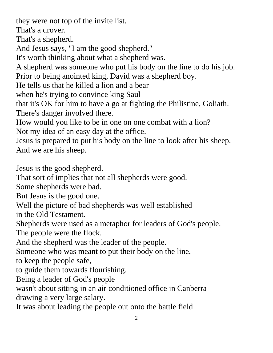they were not top of the invite list. That's a drover. That's a shepherd. And Jesus says, "I am the good shepherd." It's worth thinking about what a shepherd was. A shepherd was someone who put his body on the line to do his job. Prior to being anointed king, David was a shepherd boy. He tells us that he killed a lion and a bear when he's trying to convince king Saul that it's OK for him to have a go at fighting the Philistine, Goliath. There's danger involved there. How would you like to be in one on one combat with a lion? Not my idea of an easy day at the office. Jesus is prepared to put his body on the line to look after his sheep. And we are his sheep. Jesus is the good shepherd. That sort of implies that not all shepherds were good. Some shepherds were bad. But Jesus is the good one. Well the picture of bad shepherds was well established in the Old Testament. Shepherds were used as a metaphor for leaders of God's people. The people were the flock. And the shepherd was the leader of the people. Someone who was meant to put their body on the line, to keep the people safe, to guide them towards flourishing. Being a leader of God's people

wasn't about sitting in an air conditioned office in Canberra drawing a very large salary.

It was about leading the people out onto the battle field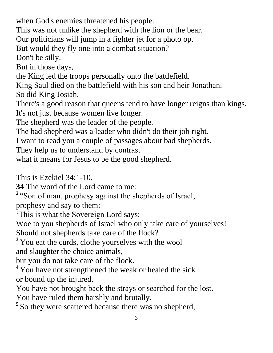when God's enemies threatened his people.

This was not unlike the shepherd with the lion or the bear.

Our politicians will jump in a fighter jet for a photo op.

But would they fly one into a combat situation?

Don't be silly.

But in those days,

the King led the troops personally onto the battlefield.

King Saul died on the battlefield with his son and heir Jonathan.

So did King Josiah.

There's a good reason that queens tend to have longer reigns than kings. It's not just because women live longer.

The shepherd was the leader of the people.

The bad shepherd was a leader who didn't do their job right.

I want to read you a couple of passages about bad shepherds.

They help us to understand by contrast

what it means for Jesus to be the good shepherd.

This is Ezekiel 34:1-10.

**34** The word of the Lord came to me:

<sup>2</sup> "Son of man, prophesy against the shepherds of Israel;

prophesy and say to them:

'This is what the Sovereign Lord says:

Woe to you shepherds of Israel who only take care of yourselves!

Should not shepherds take care of the flock?

**<sup>3</sup>** You eat the curds, clothe yourselves with the wool

and slaughter the choice animals,

but you do not take care of the flock.

**<sup>4</sup>** You have not strengthened the weak or healed the sick or bound up the injured.

You have not brought back the strays or searched for the lost. You have ruled them harshly and brutally.

<sup>5</sup> So they were scattered because there was no shepherd,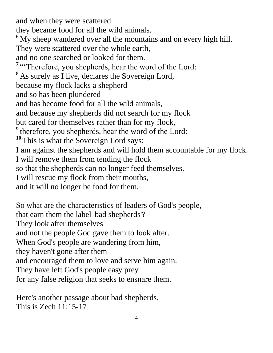and when they were scattered they became food for all the wild animals. **<sup>6</sup>** My sheep wandered over all the mountains and on every high hill. They were scattered over the whole earth, and no one searched or looked for them. <sup>7</sup> "Therefore, you shepherds, hear the word of the Lord: **<sup>8</sup>** As surely as I live, declares the Sovereign Lord, because my flock lacks a shepherd and so has been plundered and has become food for all the wild animals, and because my shepherds did not search for my flock but cared for themselves rather than for my flock, <sup>9</sup> therefore, you shepherds, hear the word of the Lord: **<sup>10</sup>** This is what the Sovereign Lord says: I am against the shepherds and will hold them accountable for my flock. I will remove them from tending the flock so that the shepherds can no longer feed themselves. I will rescue my flock from their mouths, and it will no longer be food for them.

So what are the characteristics of leaders of God's people, that earn them the label 'bad shepherds'? They look after themselves and not the people God gave them to look after. When God's people are wandering from him, they haven't gone after them and encouraged them to love and serve him again. They have left God's people easy prey for any false religion that seeks to ensnare them.

Here's another passage about bad shepherds. This is Zech 11:15-17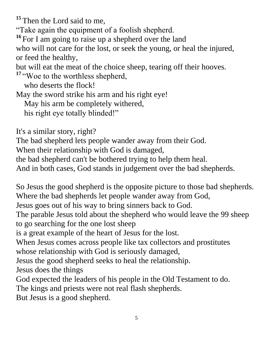<sup>15</sup> Then the Lord said to me,

"Take again the equipment of a foolish shepherd.

**<sup>16</sup>** For I am going to raise up a shepherd over the land who will not care for the lost, or seek the young, or heal the injured, or feed the healthy,

but will eat the meat of the choice sheep, tearing off their hooves.

<sup>17</sup> "Woe to the worthless shepherd,

who deserts the flock!

May the sword strike his arm and his right eye!

May his arm be completely withered,

his right eye totally blinded!"

It's a similar story, right?

The bad shepherd lets people wander away from their God.

When their relationship with God is damaged,

the bad shepherd can't be bothered trying to help them heal.

And in both cases, God stands in judgement over the bad shepherds.

So Jesus the good shepherd is the opposite picture to those bad shepherds. Where the bad shepherds let people wander away from God,

Jesus goes out of his way to bring sinners back to God.

The parable Jesus told about the shepherd who would leave the 99 sheep to go searching for the one lost sheep

is a great example of the heart of Jesus for the lost.

When Jesus comes across people like tax collectors and prostitutes whose relationship with God is seriously damaged,

Jesus the good shepherd seeks to heal the relationship.

Jesus does the things

God expected the leaders of his people in the Old Testament to do.

The kings and priests were not real flash shepherds.

But Jesus is a good shepherd.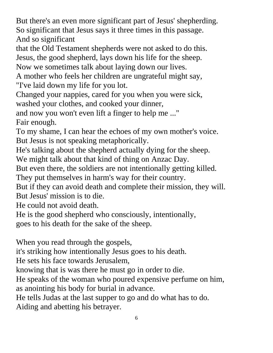But there's an even more significant part of Jesus' shepherding. So significant that Jesus says it three times in this passage. And so significant

that the Old Testament shepherds were not asked to do this. Jesus, the good shepherd, lays down his life for the sheep.

Now we sometimes talk about laying down our lives.

A mother who feels her children are ungrateful might say,

"I've laid down my life for you lot.

Changed your nappies, cared for you when you were sick,

washed your clothes, and cooked your dinner,

and now you won't even lift a finger to help me ..." Fair enough.

To my shame, I can hear the echoes of my own mother's voice. But Jesus is not speaking metaphorically.

He's talking about the shepherd actually dying for the sheep.

We might talk about that kind of thing on Anzac Day.

But even there, the soldiers are not intentionally getting killed.

They put themselves in harm's way for their country.

But if they can avoid death and complete their mission, they will. But Jesus' mission is to die.

He could not avoid death.

He is the good shepherd who consciously, intentionally,

goes to his death for the sake of the sheep.

When you read through the gospels,

it's striking how intentionally Jesus goes to his death.

He sets his face towards Jerusalem,

knowing that is was there he must go in order to die.

He speaks of the woman who poured expensive perfume on him, as anointing his body for burial in advance.

He tells Judas at the last supper to go and do what has to do.

Aiding and abetting his betrayer.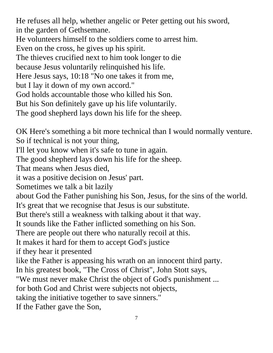He refuses all help, whether angelic or Peter getting out his sword, in the garden of Gethsemane.

He volunteers himself to the soldiers come to arrest him.

Even on the cross, he gives up his spirit.

The thieves crucified next to him took longer to die

because Jesus voluntarily relinquished his life.

Here Jesus says, 10:18 "No one takes it from me,

but I lay it down of my own accord."

God holds accountable those who killed his Son.

But his Son definitely gave up his life voluntarily.

The good shepherd lays down his life for the sheep.

OK Here's something a bit more technical than I would normally venture. So if technical is not your thing,

I'll let you know when it's safe to tune in again.

The good shepherd lays down his life for the sheep.

That means when Jesus died,

it was a positive decision on Jesus' part.

Sometimes we talk a bit lazily

about God the Father punishing his Son, Jesus, for the sins of the world. It's great that we recognise that Jesus is our substitute.

But there's still a weakness with talking about it that way.

It sounds like the Father inflicted something on his Son.

There are people out there who naturally recoil at this.

It makes it hard for them to accept God's justice

if they hear it presented

like the Father is appeasing his wrath on an innocent third party.

In his greatest book, "The Cross of Christ", John Stott says,

"We must never make Christ the object of God's punishment ...

for both God and Christ were subjects not objects,

taking the initiative together to save sinners."

If the Father gave the Son,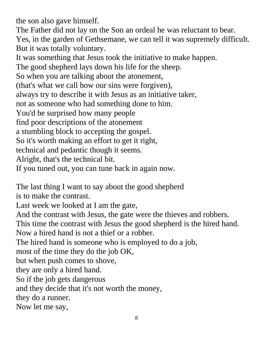the son also gave himself.

The Father did not lay on the Son an ordeal he was reluctant to bear. Yes, in the garden of Gethsemane, we can tell it was supremely difficult. But it was totally voluntary.

It was something that Jesus took the initiative to make happen.

The good shepherd lays down his life for the sheep.

So when you are talking about the atonement,

(that's what we call how our sins were forgiven),

always try to describe it with Jesus as an initiative taker,

not as someone who had something done to him.

You'd be surprised how many people

find poor descriptions of the atonement

a stumbling block to accepting the gospel.

So it's worth making an effort to get it right,

technical and pedantic though it seems.

Alright, that's the technical bit.

If you tuned out, you can tune back in again now.

The last thing I want to say about the good shepherd

is to make the contrast.

Last week we looked at I am the gate,

And the contrast with Jesus, the gate were the thieves and robbers.

This time the contrast with Jesus the good shepherd is the hired hand.

Now a hired hand is not a thief or a robber.

The hired hand is someone who is employed to do a job,

most of the time they do the job OK,

but when push comes to shove,

they are only a hired hand.

So if the job gets dangerous

and they decide that it's not worth the money,

they do a runner.

Now let me say,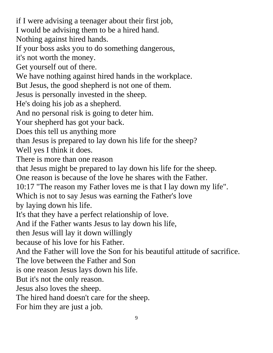if I were advising a teenager about their first job, I would be advising them to be a hired hand. Nothing against hired hands. If your boss asks you to do something dangerous, it's not worth the money. Get yourself out of there. We have nothing against hired hands in the workplace. But Jesus, the good shepherd is not one of them. Jesus is personally invested in the sheep. He's doing his job as a shepherd. And no personal risk is going to deter him. Your shepherd has got your back. Does this tell us anything more than Jesus is prepared to lay down his life for the sheep? Well yes I think it does. There is more than one reason that Jesus might be prepared to lay down his life for the sheep. One reason is because of the love he shares with the Father. 10:17 "The reason my Father loves me is that I lay down my life". Which is not to say Jesus was earning the Father's love by laying down his life. It's that they have a perfect relationship of love. And if the Father wants Jesus to lay down his life, then Jesus will lay it down willingly because of his love for his Father. And the Father will love the Son for his beautiful attitude of sacrifice. The love between the Father and Son is one reason Jesus lays down his life. But it's not the only reason. Jesus also loves the sheep. The hired hand doesn't care for the sheep. For him they are just a job.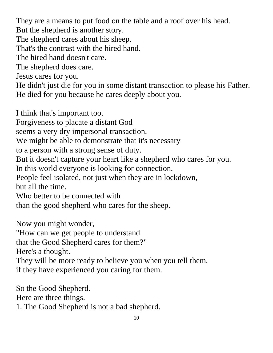They are a means to put food on the table and a roof over his head.

But the shepherd is another story.

The shepherd cares about his sheep.

That's the contrast with the hired hand.

The hired hand doesn't care.

The shepherd does care.

Jesus cares for you.

He didn't just die for you in some distant transaction to please his Father. He died for you because he cares deeply about you.

I think that's important too.

Forgiveness to placate a distant God

seems a very dry impersonal transaction.

We might be able to demonstrate that it's necessary

to a person with a strong sense of duty.

But it doesn't capture your heart like a shepherd who cares for you.

In this world everyone is looking for connection.

People feel isolated, not just when they are in lockdown,

but all the time.

Who better to be connected with

than the good shepherd who cares for the sheep.

Now you might wonder,

"How can we get people to understand

that the Good Shepherd cares for them?"

Here's a thought.

They will be more ready to believe you when you tell them, if they have experienced you caring for them.

So the Good Shepherd.

Here are three things.

1. The Good Shepherd is not a bad shepherd.